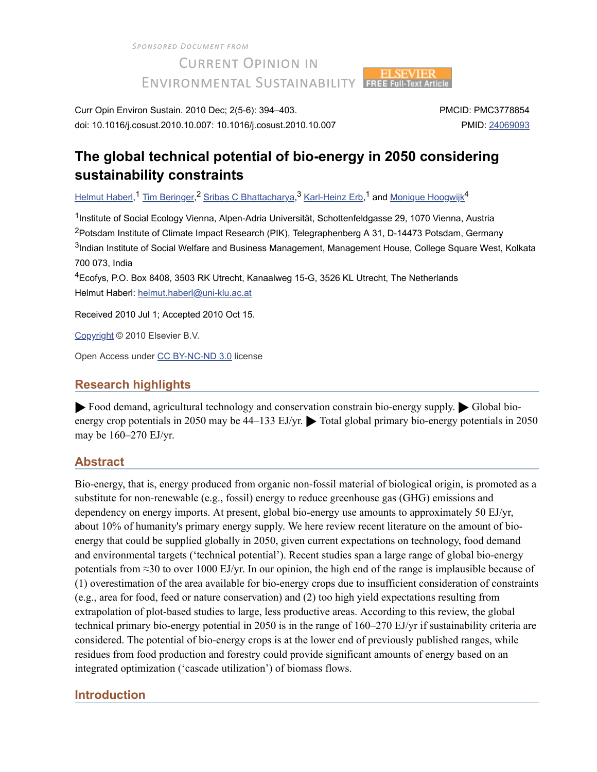**CURRENT OPINION IN** ENVIRONMENTAL SUSTAINABILITY FREE FULL



Curr Opin Environ Sustain. 2010 Dec; 2(5-6): 394–403. doi: 10.1016/j.cosust.2010.10.007: 10.1016/j.cosust.2010.10.007

**SPONSORED DOCUMENT FROM** 

PMCID: PMC3778854 PMID: [24069093](https://www.ncbi.nlm.nih.gov/pubmed/24069093)

# **The global technical potential of bio-energy in 2050 considering sustainability constraints**

<u>[Helmut](https://www.ncbi.nlm.nih.gov/pubmed/?term=Haberl%20H%5BAuthor%5D&cauthor=true&cauthor_uid=24069093) Haberl,<sup>1</sup> Tim [Beringer](https://www.ncbi.nlm.nih.gov/pubmed/?term=Beringer%20T%5BAuthor%5D&cauthor=true&cauthor_uid=24069093),<sup>2</sup> Sribas C [Bhattacharya](https://www.ncbi.nlm.nih.gov/pubmed/?term=Bhattacharya%20SC%5BAuthor%5D&cauthor=true&cauthor_uid=24069093),<sup>3</sup> [Karl-Heinz](https://www.ncbi.nlm.nih.gov/pubmed/?term=Erb%20KH%5BAuthor%5D&cauthor=true&cauthor_uid=24069093) Erb,<sup>1</sup> and <u>Monique [Hoogwijk](https://www.ncbi.nlm.nih.gov/pubmed/?term=Hoogwijk%20M%5BAuthor%5D&cauthor=true&cauthor_uid=24069093)</u><sup>4</sup></u>

<sup>1</sup>Institute of Social Ecology Vienna, Alpen-Adria Universität, Schottenfeldgasse 29, 1070 Vienna, Austria <sup>2</sup>Potsdam Institute of Climate Impact Research (PIK), Telegraphenberg A 31, D-14473 Potsdam, Germany  $^3$ Indian Institute of Social Welfare and Business Management, Management House, College Square West, Kolkata 700 073, India

 $^4$ Ecofys, P.O. Box 8408, 3503 RK Utrecht, Kanaalweg 15-G, 3526 KL Utrecht, The Netherlands Helmut Haberl: [helmut.haberl@uni-klu.ac.at](mailto:dev@null)

Received 2010 Jul 1; Accepted 2010 Oct 15.

[Copyright](https://www.ncbi.nlm.nih.gov/pmc/about/copyright/) © 2010 Elsevier B.V.

Open Access under CC [BY-NC-ND](https://creativecommons.org/licenses/by-nc-nd/3.0/) 3.0 license

# **Research highlights**

▶ Food demand, agricultural technology and conservation constrain bio-energy supply. ▶ Global bioenergy crop potentials in 2050 may be 44–133 EJ/yr.  $\triangleright$  Total global primary bio-energy potentials in 2050 may be 160–270 EJ/yr.

### **Abstract**

Bio-energy, that is, energy produced from organic non-fossil material of biological origin, is promoted as a substitute for non-renewable (e.g., fossil) energy to reduce greenhouse gas (GHG) emissions and dependency on energy imports. At present, global bio-energy use amounts to approximately 50 EJ/yr, about 10% of humanity's primary energy supply. We here review recent literature on the amount of bioenergy that could be supplied globally in 2050, given current expectations on technology, food demand and environmental targets ('technical potential'). Recent studies span a large range of global bio-energy potentials from ≈30 to over 1000 EJ/yr. In our opinion, the high end of the range is implausible because of (1) overestimation of the area available for bio-energy crops due to insufficient consideration of constraints (e.g., area for food, feed or nature conservation) and (2) too high yield expectations resulting from extrapolation of plot-based studies to large, less productive areas. According to this review, the global technical primary bio-energy potential in 2050 is in the range of 160–270 EJ/yr if sustainability criteria are considered. The potential of bio-energy crops is at the lower end of previously published ranges, while residues from food production and forestry could provide significant amounts of energy based on an integrated optimization ('cascade utilization') of biomass flows.

# **Introduction**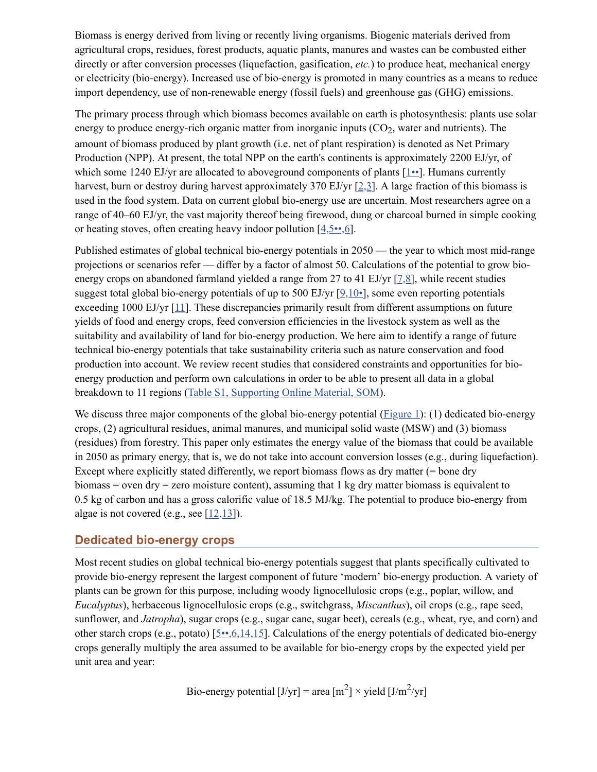Biomass is energy derived from living or recently living organisms. Biogenic materials derived from agricultural crops, residues, forest products, aquatic plants, manures and wastes can be combusted either directly or after conversion processes (liquefaction, gasification, *etc.*) to produce heat, mechanical energy or electricity (bio-energy). Increased use of bio-energy is promoted in many countries as a means to reduce import dependency, use of non-renewable energy (fossil fuels) and greenhouse gas (GHG) emissions.

The primary process through which biomass becomes available on earth is photosynthesis: plants use solar energy to produce energy-rich organic matter from inorganic inputs  $(CO<sub>2</sub>)$ , water and nutrients). The amount of biomass produced by plant growth (i.e. net of plant respiration) is denoted as Net Primary Production (NPP). At present, the total NPP on the earth's continents is approximately 2200 EJ/yr, of which some 1240 EJ/yr are allocated to aboveground components of plants [[1••\]](#page-7-0). Humans currently harvest, burn or destroy during harvest approximately 370 EJ/yr [[2,3](#page-7-1)]. A large fraction of this biomass is used in the food system. Data on current global bio-energy use are uncertain. Most researchers agree on a range of 40–60 EJ/yr, the vast majority thereof being firewood, dung or charcoal burned in simple cooking or heating stoves, often creating heavy indoor pollution [\[4,5••,6\]](#page-7-2).

Published estimates of global technical bio-energy potentials in 2050 — the year to which most mid-range projections or scenarios refer — differ by a factor of almost 50. Calculations of the potential to grow bioenergy crops on abandoned farmland yielded a range from 27 to 41 EJ/yr  $[7,8]$  $[7,8]$ , while recent studies suggest total global bio-energy potentials of up to 500 EJ/yr  $[9,10\text{°}]$ , some even reporting potentials exceeding 1000 EJ/yr [[11\]](#page-8-2). These discrepancies primarily result from different assumptions on future yields of food and energy crops, feed conversion efficiencies in the livestock system as well as the suitability and availability of land for bio-energy production. We here aim to identify a range of future technical bio-energy potentials that take sustainability criteria such as nature conservation and food production into account. We review recent studies that considered constraints and opportunities for bioenergy production and perform own calculations in order to be able to present all data in a global breakdown to 11 regions (Table S1, [Supporting](#page-7-3) Online Material, SOM).

We discuss three major components of the global bio-energy potential [\(Figure](https://www.ncbi.nlm.nih.gov/pmc/articles/PMC3778854/figure/fig0005/) 1): (1) dedicated bio-energy crops, (2) agricultural residues, animal manures, and municipal solid waste (MSW) and (3) biomass (residues) from forestry. This paper only estimates the energy value of the biomass that could be available in 2050 as primary energy, that is, we do not take into account conversion losses (e.g., during liquefaction). Except where explicitly stated differently, we report biomass flows as dry matter (= bone dry biomass = oven dry = zero moisture content), assuming that 1 kg dry matter biomass is equivalent to 0.5 kg of carbon and has a gross calorific value of 18.5 MJ/kg. The potential to produce bio-energy from algae is not covered (e.g., see  $[12,13]$  $[12,13]$ ).

#### **Dedicated bio-energy crops**

Most recent studies on global technical bio-energy potentials suggest that plants specifically cultivated to provide bio-energy represent the largest component of future 'modern' bio-energy production. A variety of plants can be grown for this purpose, including woody lignocellulosic crops (e.g., poplar, willow, and *Eucalyptus*), herbaceous lignocellulosic crops (e.g., switchgrass, *Miscanthus*), oil crops (e.g., rape seed, sunflower, and *Jatropha*), sugar crops (e.g., sugar cane, sugar beet), cereals (e.g., wheat, rye, and corn) and other starch crops (e.g., potato) [\[5••,6,14,15\]](#page-7-4). Calculations of the energy potentials of dedicated bio-energy crops generally multiply the area assumed to be available for bio-energy crops by the expected yield per unit area and year:

Bio-energy potential [J/yr] = area  $\text{[m}^2 \times \text{yield [J/m}^2/\text{yr}]$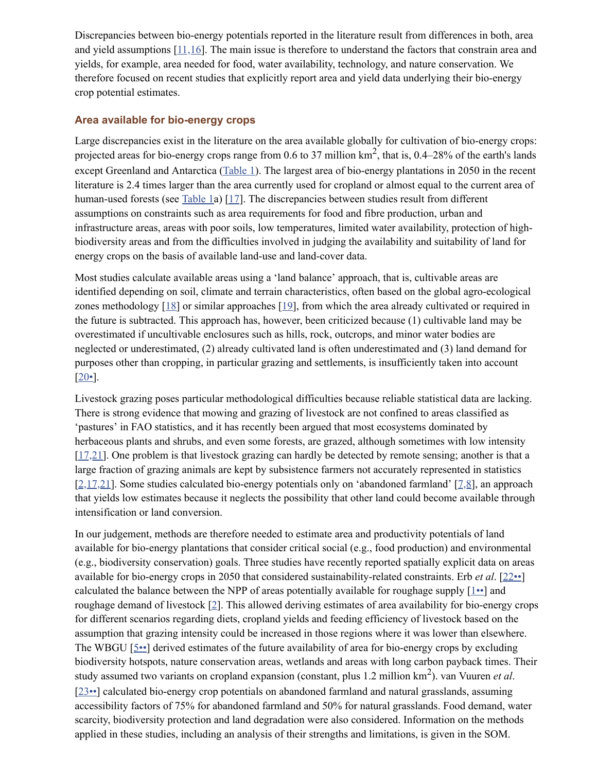Discrepancies between bio-energy potentials reported in the literature result from differences in both, area and yield assumptions [[11,16\]](#page-8-2). The main issue is therefore to understand the factors that constrain area and yields, for example, area needed for food, water availability, technology, and nature conservation. We therefore focused on recent studies that explicitly report area and yield data underlying their bio-energy crop potential estimates.

#### **Area available for bio-energy crops**

Large discrepancies exist in the literature on the area available globally for cultivation of bio-energy crops: projected areas for bio-energy crops range from 0.6 to 37 million  $km^2$ , that is, 0.4–28% of the earth's lands except Greenland and Antarctica ([Table](https://www.ncbi.nlm.nih.gov/pmc/articles/PMC3778854/table/tbl0005/) 1). The largest area of bio-energy plantations in 2050 in the recent literature is 2.4 times larger than the area currently used for cropland or almost equal to the current area of human-used forests (see [Table](https://www.ncbi.nlm.nih.gov/pmc/articles/PMC3778854/table/tbl0005/) 1a) [\[17](#page-8-4)]. The discrepancies between studies result from different assumptions on constraints such as area requirements for food and fibre production, urban and infrastructure areas, areas with poor soils, low temperatures, limited water availability, protection of highbiodiversity areas and from the difficulties involved in judging the availability and suitability of land for energy crops on the basis of available land-use and land-cover data.

Most studies calculate available areas using a 'land balance' approach, that is, cultivable areas are identified depending on soil, climate and terrain characteristics, often based on the global agro-ecological zones methodology  $[18]$  $[18]$  or similar approaches  $[19]$  $[19]$ , from which the area already cultivated or required in the future is subtracted. This approach has, however, been criticized because (1) cultivable land may be overestimated if uncultivable enclosures such as hills, rock, outcrops, and minor water bodies are neglected or underestimated, (2) already cultivated land is often underestimated and (3) land demand for purposes other than cropping, in particular grazing and settlements, is insufficiently taken into account  $[20\bullet]$ .

Livestock grazing poses particular methodological difficulties because reliable statistical data are lacking. There is strong evidence that mowing and grazing of livestock are not confined to areas classified as 'pastures' in FAO statistics, and it has recently been argued that most ecosystems dominated by herbaceous plants and shrubs, and even some forests, are grazed, although sometimes with low intensity  $[17,21]$  $[17,21]$ . One problem is that livestock grazing can hardly be detected by remote sensing; another is that a large fraction of grazing animals are kept by subsistence farmers not accurately represented in statistics [\[2,17,21\]](#page-7-1). Some studies calculated bio-energy potentials only on 'abandoned farmland' [[7,8](#page-8-0)], an approach that yields low estimates because it neglects the possibility that other land could become available through intensification or land conversion.

In our judgement, methods are therefore needed to estimate area and productivity potentials of land available for bio-energy plantations that consider critical social (e.g., food production) and environmental (e.g., biodiversity conservation) goals. Three studies have recently reported spatially explicit data on areas available for bio-energy crops in 2050 that considered sustainability-related constraints. Erb *et al*. [\[22••\]](#page-9-0) calculated the balance between the NPP of areas potentially available for roughage supply  $[1\bullet]$  and roughage demand of livestock [\[2\]](#page-7-1). This allowed deriving estimates of area availability for bio-energy crops for different scenarios regarding diets, cropland yields and feeding efficiency of livestock based on the assumption that grazing intensity could be increased in those regions where it was lower than elsewhere. The WBGU  $[5\cdot \cdot]$  derived estimates of the future availability of area for bio-energy crops by excluding biodiversity hotspots, nature conservation areas, wetlands and areas with long carbon payback times. Their study assumed two variants on cropland expansion (constant, plus 1.2 million km<sup>2</sup>). van Vuuren *et al*.  $[23\cdot]$  calculated bio-energy crop potentials on abandoned farmland and natural grasslands, assuming accessibility factors of 75% for abandoned farmland and 50% for natural grasslands. Food demand, water scarcity, biodiversity protection and land degradation were also considered. Information on the methods applied in these studies, including an analysis of their strengths and limitations, is given in the SOM.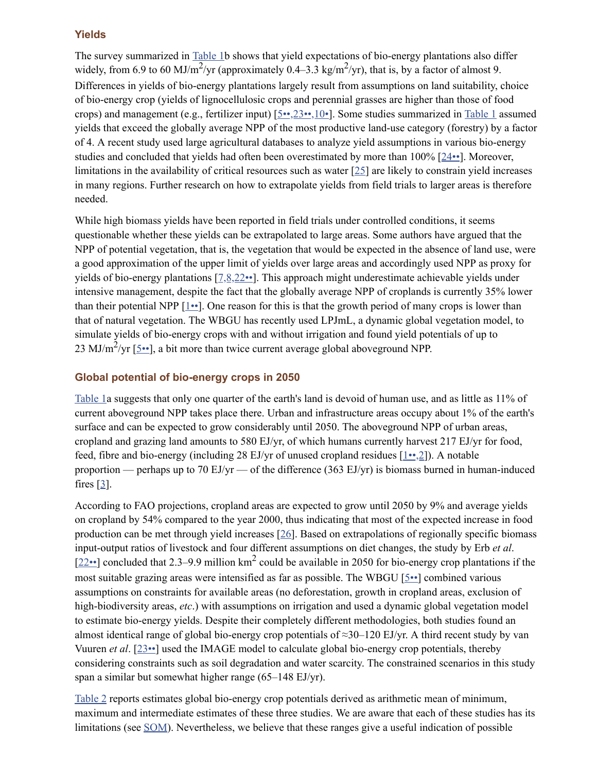#### **Yields**

The survey summarized in [Table](https://www.ncbi.nlm.nih.gov/pmc/articles/PMC3778854/table/tbl0005/) 1b shows that yield expectations of bio-energy plantations also differ widely, from 6.9 to 60 MJ/m<sup>2</sup>/yr (approximately 0.4–3.3 kg/m<sup>2</sup>/yr), that is, by a factor of almost 9. Differences in yields of bio-energy plantations largely result from assumptions on land suitability, choice of bio-energy crop (yields of lignocellulosic crops and perennial grasses are higher than those of food crops) and management (e.g., fertilizer input)  $[5\cdot 23\cdot 10\cdot]$ . Some studies summarized in [Table](https://www.ncbi.nlm.nih.gov/pmc/articles/PMC3778854/table/tbl0005/) 1 assumed yields that exceed the globally average NPP of the most productive land-use category (forestry) by a factor of 4. A recent study used large agricultural databases to analyze yield assumptions in various bio-energy studies and concluded that yields had often been overestimated by more than 100% [[24••\]](#page-9-2). Moreover, limitations in the availability of critical resources such as water  $[25]$  $[25]$  are likely to constrain yield increases in many regions. Further research on how to extrapolate yields from field trials to larger areas is therefore needed.

While high biomass yields have been reported in field trials under controlled conditions, it seems questionable whether these yields can be extrapolated to large areas. Some authors have argued that the NPP of potential vegetation, that is, the vegetation that would be expected in the absence of land use, were a good approximation of the upper limit of yields over large areas and accordingly used NPP as proxy for yields of bio-energy plantations  $[7,8,22\cdot]$ . This approach might underestimate achievable yields under intensive management, despite the fact that the globally average NPP of croplands is currently 35% lower than their potential NPP  $[1\cdot]$ . One reason for this is that the growth period of many crops is lower than that of natural vegetation. The WBGU has recently used LPJmL, a dynamic global vegetation model, to simulate yields of bio-energy crops with and without irrigation and found yield potentials of up to 23 MJ/m<sup>2</sup>/yr [5<sup>••</sup>], a bit more than twice current average global aboveground NPP.

#### **Global potential of bio-energy crops in 2050**

[Table](https://www.ncbi.nlm.nih.gov/pmc/articles/PMC3778854/table/tbl0005/) 1a suggests that only one quarter of the earth's land is devoid of human use, and as little as 11% of current aboveground NPP takes place there. Urban and infrastructure areas occupy about 1% of the earth's surface and can be expected to grow considerably until 2050. The aboveground NPP of urban areas, cropland and grazing land amounts to 580 EJ/yr, of which humans currently harvest 217 EJ/yr for food, feed, fibre and bio-energy (including 28 EJ/yr of unused cropland residues [\[1••,2](#page-7-0)]). A notable proportion — perhaps up to 70 EJ/yr — of the difference (363 EJ/yr) is biomass burned in human-induced fires  $\left[\frac{3}{2}\right]$  $\left[\frac{3}{2}\right]$  $\left[\frac{3}{2}\right]$ .

According to FAO projections, cropland areas are expected to grow until 2050 by 9% and average yields on cropland by 54% compared to the year 2000, thus indicating that most of the expected increase in food production can be met through yield increases [[26\]](#page-9-4). Based on extrapolations of regionally specific biomass input-output ratios of livestock and four different assumptions on diet changes, the study by Erb *et al*.  $[22\cdot]$  concluded that 2.3–9.9 million km<sup>2</sup> could be available in 2050 for bio-energy crop plantations if the most suitable grazing areas were intensified as far as possible. The WBGU [\[5••\]](#page-7-4) combined various assumptions on constraints for available areas (no deforestation, growth in cropland areas, exclusion of high-biodiversity areas, *etc*.) with assumptions on irrigation and used a dynamic global vegetation model to estimate bio-energy yields. Despite their completely different methodologies, both studies found an almost identical range of global bio-energy crop potentials of  $\approx$ 30–120 EJ/yr. A third recent study by van Vuuren *et al*. [[23••](#page-9-1)] used the IMAGE model to calculate global bio-energy crop potentials, thereby considering constraints such as soil degradation and water scarcity. The constrained scenarios in this study span a similar but somewhat higher range (65–148 EJ/yr).

[Table](https://www.ncbi.nlm.nih.gov/pmc/articles/PMC3778854/table/tbl0010/) 2 reports estimates global bio-energy crop potentials derived as arithmetic mean of minimum, maximum and intermediate estimates of these three studies. We are aware that each of these studies has its limitations (see [SOM\)](#page-7-3). Nevertheless, we believe that these ranges give a useful indication of possible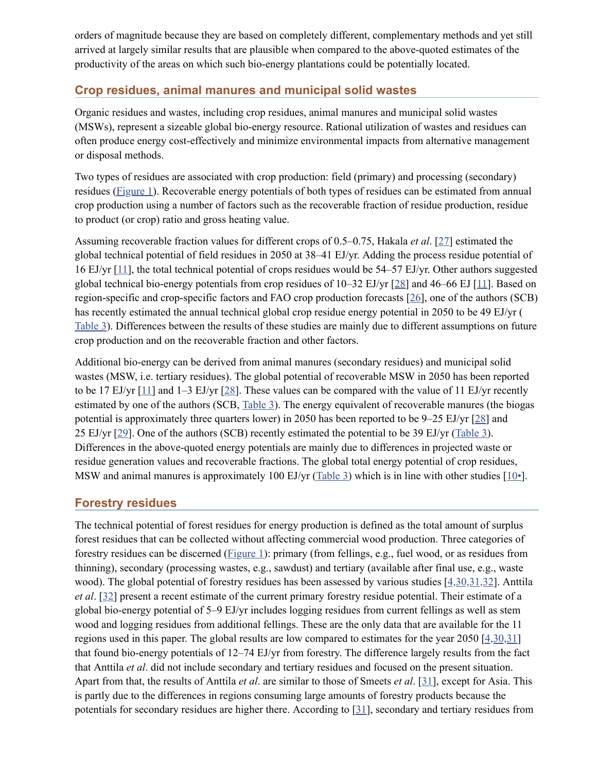orders of magnitude because they are based on completely different, complementary methods and yet still arrived at largely similar results that are plausible when compared to the above-quoted estimates of the productivity of the areas on which such bio-energy plantations could be potentially located.

# **Crop residues, animal manures and municipal solid wastes**

Organic residues and wastes, including crop residues, animal manures and municipal solid wastes (MSWs), represent a sizeable global bio-energy resource. Rational utilization of wastes and residues can often produce energy cost-effectively and minimize environmental impacts from alternative management or disposal methods.

Two types of residues are associated with crop production: field (primary) and processing (secondary) residues ([Figure](https://www.ncbi.nlm.nih.gov/pmc/articles/PMC3778854/figure/fig0005/) 1). Recoverable energy potentials of both types of residues can be estimated from annual crop production using a number of factors such as the recoverable fraction of residue production, residue to product (or crop) ratio and gross heating value.

Assuming recoverable fraction values for different crops of 0.5–0.75, Hakala *et al*. [[27\]](#page-9-5) estimated the global technical potential of field residues in 2050 at 38–41 EJ/yr. Adding the process residue potential of 16 EJ/yr [[11](#page-8-2)], the total technical potential of crops residues would be 54–57 EJ/yr. Other authors suggested global technical bio-energy potentials from crop residues of 10–32 EJ/yr [[28\]](#page-9-6) and 46–66 EJ [[11\]](#page-8-2). Based on region-specific and crop-specific factors and FAO crop production forecasts [\[26](#page-9-4)], one of the authors (SCB) has recently estimated the annual technical global crop residue energy potential in 2050 to be 49 EJ/yr ( [Table](https://www.ncbi.nlm.nih.gov/pmc/articles/PMC3778854/table/tbl0015/) 3). Differences between the results of these studies are mainly due to different assumptions on future crop production and on the recoverable fraction and other factors.

Additional bio-energy can be derived from animal manures (secondary residues) and municipal solid wastes (MSW, i.e. tertiary residues). The global potential of recoverable MSW in 2050 has been reported to be 17 EJ/yr  $[11]$  and 1–3 EJ/yr  $[28]$  $[28]$ . These values can be compared with the value of 11 EJ/yr recently estimated by one of the authors (SCB, [Table](https://www.ncbi.nlm.nih.gov/pmc/articles/PMC3778854/table/tbl0015/) 3). The energy equivalent of recoverable manures (the biogas potential is approximately three quarters lower) in 2050 has been reported to be 9–25 EJ/yr [[28\]](#page-9-6) and 25 EJ/yr [[29\]](#page-9-7). One of the authors (SCB) recently estimated the potential to be 39 EJ/yr [\(Table](https://www.ncbi.nlm.nih.gov/pmc/articles/PMC3778854/table/tbl0015/) 3). Differences in the above-quoted energy potentials are mainly due to differences in projected waste or residue generation values and recoverable fractions. The global total energy potential of crop residues, MSW and animal manures is approximately 100 EJ/yr ([Table](https://www.ncbi.nlm.nih.gov/pmc/articles/PMC3778854/table/tbl0015/) 3) which is in line with other studies  $[10\bullet]$ .

### **Forestry residues**

The technical potential of forest residues for energy production is defined as the total amount of surplus forest residues that can be collected without affecting commercial wood production. Three categories of forestry residues can be discerned ([Figure](https://www.ncbi.nlm.nih.gov/pmc/articles/PMC3778854/figure/fig0005/) 1): primary (from fellings, e.g., fuel wood, or as residues from thinning), secondary (processing wastes, e.g., sawdust) and tertiary (available after final use, e.g., waste wood). The global potential of forestry residues has been assessed by various studies [\[4,30,31,32](#page-7-2)]. Anttila *et al*. [\[32](#page-9-8)] present a recent estimate of the current primary forestry residue potential. Their estimate of a global bio-energy potential of 5–9 EJ/yr includes logging residues from current fellings as well as stem wood and logging residues from additional fellings. These are the only data that are available for the 11 regions used in this paper. The global results are low compared to estimates for the year 2050  $[4,30,31]$ that found bio-energy potentials of 12–74 EJ/yr from forestry. The difference largely results from the fact that Anttila *et al*. did not include secondary and tertiary residues and focused on the present situation. Apart from that, the results of Anttila *et al*. are similar to those of Smeets *et al*. [[31\]](#page-9-9), except for Asia. This is partly due to the differences in regions consuming large amounts of forestry products because the potentials for secondary residues are higher there. According to [\[31](#page-9-9)], secondary and tertiary residues from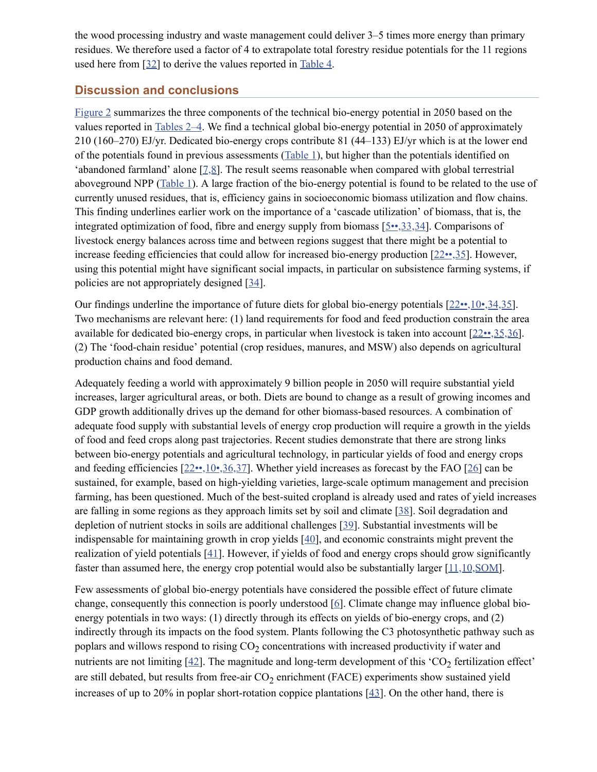the wood processing industry and waste management could deliver 3–5 times more energy than primary residues. We therefore used a factor of 4 to extrapolate total forestry residue potentials for the 11 regions used here from [[32\]](#page-9-8) to derive the values reported in [Table](https://www.ncbi.nlm.nih.gov/pmc/articles/PMC3778854/table/tbl0020/) 4.

### **Discussion and conclusions**

[Figure](https://www.ncbi.nlm.nih.gov/pmc/articles/PMC3778854/figure/fig0010/) 2 summarizes the three components of the technical bio-energy potential in 2050 based on the values reported in [Tables](https://www.ncbi.nlm.nih.gov/pmc/articles/PMC3778854/table/tbl0010/) 2–4. We find a technical global bio-energy potential in 2050 of approximately 210 (160–270) EJ/yr. Dedicated bio-energy crops contribute 81 (44–133) EJ/yr which is at the lower end of the potentials found in previous assessments [\(Table](https://www.ncbi.nlm.nih.gov/pmc/articles/PMC3778854/table/tbl0005/) 1), but higher than the potentials identified on 'abandoned farmland' alone [\[7,8](#page-8-0)]. The result seems reasonable when compared with global terrestrial aboveground NPP [\(Table](https://www.ncbi.nlm.nih.gov/pmc/articles/PMC3778854/table/tbl0005/) 1). A large fraction of the bio-energy potential is found to be related to the use of currently unused residues, that is, efficiency gains in socioeconomic biomass utilization and flow chains. This finding underlines earlier work on the importance of a 'cascade utilization' of biomass, that is, the integrated optimization of food, fibre and energy supply from biomass [\[5••,33,34](#page-7-4)]. Comparisons of livestock energy balances across time and between regions suggest that there might be a potential to increase feeding efficiencies that could allow for increased bio-energy production [\[22••,35](#page-9-0)]. However, using this potential might have significant social impacts, in particular on subsistence farming systems, if policies are not appropriately designed [\[34](#page-9-10)].

Our findings underline the importance of future diets for global bio-energy potentials  $[22\cdot,10\cdot,34,35]$ . Two mechanisms are relevant here: (1) land requirements for food and feed production constrain the area available for dedicated bio-energy crops, in particular when livestock is taken into account [[22••,35,36](#page-9-0)]. (2) The 'food-chain residue' potential (crop residues, manures, and MSW) also depends on agricultural production chains and food demand.

Adequately feeding a world with approximately 9 billion people in 2050 will require substantial yield increases, larger agricultural areas, or both. Diets are bound to change as a result of growing incomes and GDP growth additionally drives up the demand for other biomass-based resources. A combination of adequate food supply with substantial levels of energy crop production will require a growth in the yields of food and feed crops along past trajectories. Recent studies demonstrate that there are strong links between bio-energy potentials and agricultural technology, in particular yields of food and energy crops and feeding efficiencies  $[22\cdot, 10\cdot, 36, 37]$ . Whether yield increases as forecast by the FAO [[26\]](#page-9-4) can be sustained, for example, based on high-yielding varieties, large-scale optimum management and precision farming, has been questioned. Much of the best-suited cropland is already used and rates of yield increases are falling in some regions as they approach limits set by soil and climate [\[38\]](#page-10-0). Soil degradation and depletion of nutrient stocks in soils are additional challenges [[39\]](#page-10-1). Substantial investments will be indispensable for maintaining growth in crop yields [\[40](#page-10-2)], and economic constraints might prevent the realization of yield potentials [[41\]](#page-10-3). However, if yields of food and energy crops should grow significantly faster than assumed here, the energy crop potential would also be substantially larger  $[11,10, SOM]$ .

Few assessments of global bio-energy potentials have considered the possible effect of future climate change, consequently this connection is poorly understood  $[6]$  $[6]$  $[6]$ . Climate change may influence global bioenergy potentials in two ways: (1) directly through its effects on yields of bio-energy crops, and (2) indirectly through its impacts on the food system. Plants following the C3 photosynthetic pathway such as poplars and willows respond to rising  $CO_2$  concentrations with increased productivity if water and nutrients are not limiting  $[42]$ . The magnitude and long-term development of this 'CO<sub>2</sub> fertilization effect' are still debated, but results from free-air  $CO_2$  enrichment (FACE) experiments show sustained yield increases of up to 20% in poplar short-rotation coppice plantations  $[43]$  $[43]$ . On the other hand, there is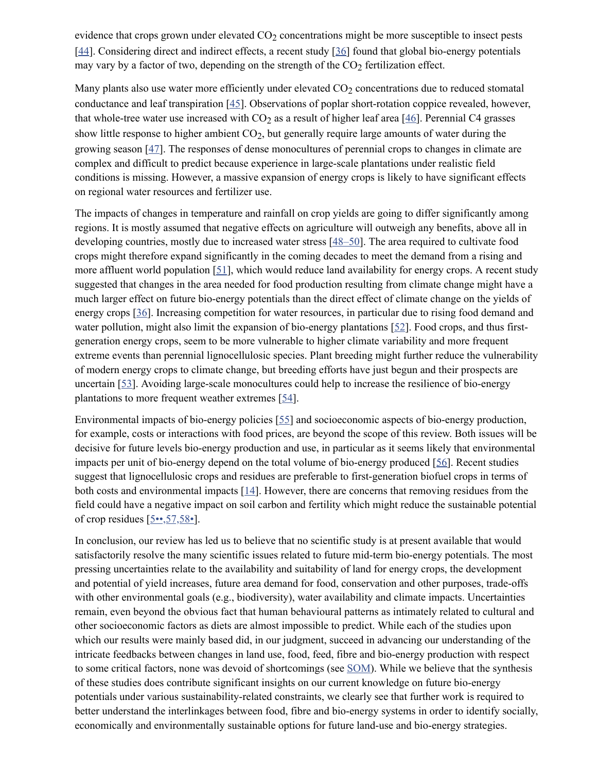evidence that crops grown under elevated  $CO_2$  concentrations might be more susceptible to insect pests [\[44](#page-10-6)]. Considering direct and indirect effects, a recent study [\[36](#page-10-7)] found that global bio-energy potentials may vary by a factor of two, depending on the strength of the  $CO_2$  fertilization effect.

Many plants also use water more efficiently under elevated  $CO_2$  concentrations due to reduced stomatal conductance and leaf transpiration [[45\]](#page-10-8). Observations of poplar short-rotation coppice revealed, however, that whole-tree water use increased with  $CO<sub>2</sub>$  as a result of higher leaf area [ $46$ ]. Perennial C4 grasses show little response to higher ambient  $CO_2$ , but generally require large amounts of water during the growing season [\[47\]](#page-10-10). The responses of dense monocultures of perennial crops to changes in climate are complex and difficult to predict because experience in large-scale plantations under realistic field conditions is missing. However, a massive expansion of energy crops is likely to have significant effects on regional water resources and fertilizer use.

The impacts of changes in temperature and rainfall on crop yields are going to differ significantly among regions. It is mostly assumed that negative effects on agriculture will outweigh any benefits, above all in developing countries, mostly due to increased water stress [\[48–50](#page-10-11)]. The area required to cultivate food crops might therefore expand significantly in the coming decades to meet the demand from a rising and more affluent world population  $[51]$  $[51]$  $[51]$ , which would reduce land availability for energy crops. A recent study suggested that changes in the area needed for food production resulting from climate change might have a much larger effect on future bio-energy potentials than the direct effect of climate change on the yields of energy crops [[36](#page-10-7)]. Increasing competition for water resources, in particular due to rising food demand and water pollution, might also limit the expansion of bio-energy plantations [\[52](#page-11-1)]. Food crops, and thus firstgeneration energy crops, seem to be more vulnerable to higher climate variability and more frequent extreme events than perennial lignocellulosic species. Plant breeding might further reduce the vulnerability of modern energy crops to climate change, but breeding efforts have just begun and their prospects are uncertain [[53\]](#page-11-2). Avoiding large-scale monocultures could help to increase the resilience of bio-energy plantations to more frequent weather extremes [\[54](#page-11-3)].

Environmental impacts of bio-energy policies [\[55](#page-11-4)] and socioeconomic aspects of bio-energy production, for example, costs or interactions with food prices, are beyond the scope of this review. Both issues will be decisive for future levels bio-energy production and use, in particular as it seems likely that environmental impacts per unit of bio-energy depend on the total volume of bio-energy produced [\[56](#page-11-5)]. Recent studies suggest that lignocellulosic crops and residues are preferable to first-generation biofuel crops in terms of both costs and environmental impacts [[14\]](#page-8-10). However, there are concerns that removing residues from the field could have a negative impact on soil carbon and fertility which might reduce the sustainable potential of crop residues  $[5\cdot 0.57, 58\cdot]$ .

In conclusion, our review has led us to believe that no scientific study is at present available that would satisfactorily resolve the many scientific issues related to future mid-term bio-energy potentials. The most pressing uncertainties relate to the availability and suitability of land for energy crops, the development and potential of yield increases, future area demand for food, conservation and other purposes, trade-offs with other environmental goals (e.g., biodiversity), water availability and climate impacts. Uncertainties remain, even beyond the obvious fact that human behavioural patterns as intimately related to cultural and other socioeconomic factors as diets are almost impossible to predict. While each of the studies upon which our results were mainly based did, in our judgment, succeed in advancing our understanding of the intricate feedbacks between changes in land use, food, feed, fibre and bio-energy production with respect to some critical factors, none was devoid of shortcomings (see [SOM](#page-7-3)). While we believe that the synthesis of these studies does contribute significant insights on our current knowledge on future bio-energy potentials under various sustainability-related constraints, we clearly see that further work is required to better understand the interlinkages between food, fibre and bio-energy systems in order to identify socially, economically and environmentally sustainable options for future land-use and bio-energy strategies.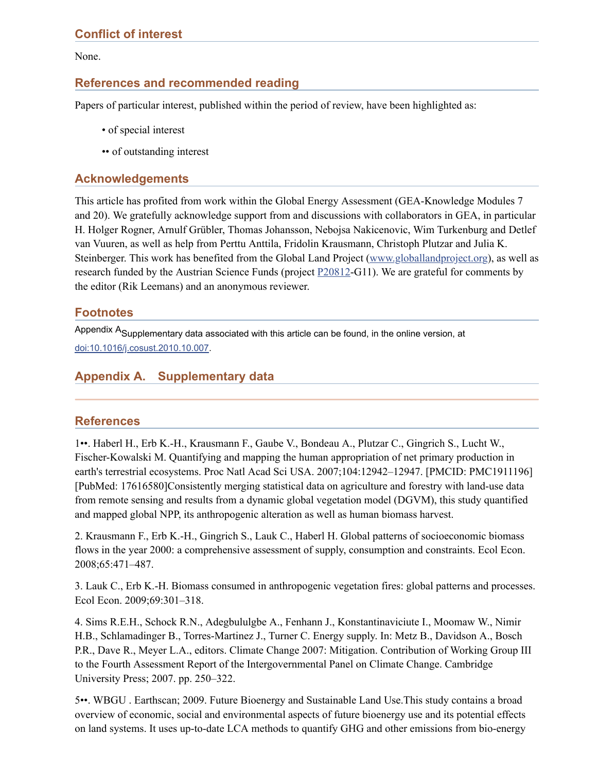# **Conflict of interest**

None.

### **References and recommended reading**

Papers of particular interest, published within the period of review, have been highlighted as:

- of special interest
- •• of outstanding interest

### **Acknowledgements**

This article has profited from work within the Global Energy Assessment (GEA-Knowledge Modules 7 and 20). We gratefully acknowledge support from and discussions with collaborators in GEA, in particular H. Holger Rogner, Arnulf Grübler, Thomas Johansson, Nebojsa Nakicenovic, Wim Turkenburg and Detlef van Vuuren, as well as help from Perttu Anttila, Fridolin Krausmann, Christoph Plutzar and Julia K. Steinberger. This work has benefited from the Global Land Project [\(www.globallandproject.org\)](http://www.globallandproject.org/), as well as research funded by the Austrian Science Funds (project [P20812](https://www.ncbi.nlm.nih.gov/protein/P20812)-G11). We are grateful for comments by the editor (Rik Leemans) and an anonymous reviewer.

#### **Footnotes**

Appendix A<sub>Supplementary data associated with this article can be found, in the online version, at</sub> [doi:10.1016/j.cosust.2010.10.007](https://dx.doi.org/10.1016/j.cosust.2010.10.007).

# <span id="page-7-3"></span>**Appendix A. Supplementary data**

#### **References**

<span id="page-7-0"></span>1••. Haberl H., Erb K.-H., Krausmann F., Gaube V., Bondeau A., Plutzar C., Gingrich S., Lucht W., Fischer-Kowalski M. Quantifying and mapping the human appropriation of net primary production in earth's terrestrial ecosystems. Proc Natl Acad Sci USA. 2007;104:12942–12947. [PMCID: PMC1911196] [PubMed: 17616580]Consistently merging statistical data on agriculture and forestry with land-use data from remote sensing and results from a dynamic global vegetation model (DGVM), this study quantified and mapped global NPP, its anthropogenic alteration as well as human biomass harvest.

<span id="page-7-1"></span>2. Krausmann F., Erb K.-H., Gingrich S., Lauk C., Haberl H. Global patterns of socioeconomic biomass flows in the year 2000: a comprehensive assessment of supply, consumption and constraints. Ecol Econ. 2008;65:471–487.

<span id="page-7-5"></span>3. Lauk C., Erb K.-H. Biomass consumed in anthropogenic vegetation fires: global patterns and processes. Ecol Econ. 2009;69:301–318.

<span id="page-7-2"></span>4. Sims R.E.H., Schock R.N., Adegbululgbe A., Fenhann J., Konstantinaviciute I., Moomaw W., Nimir H.B., Schlamadinger B., Torres-Martinez J., Turner C. Energy supply. In: Metz B., Davidson A., Bosch P.R., Dave R., Meyer L.A., editors. Climate Change 2007: Mitigation. Contribution of Working Group III to the Fourth Assessment Report of the Intergovernmental Panel on Climate Change. Cambridge University Press; 2007. pp. 250–322.

<span id="page-7-4"></span>5••. WBGU . Earthscan; 2009. Future Bioenergy and Sustainable Land Use.This study contains a broad overview of economic, social and environmental aspects of future bioenergy use and its potential effects on land systems. It uses up-to-date LCA methods to quantify GHG and other emissions from bio-energy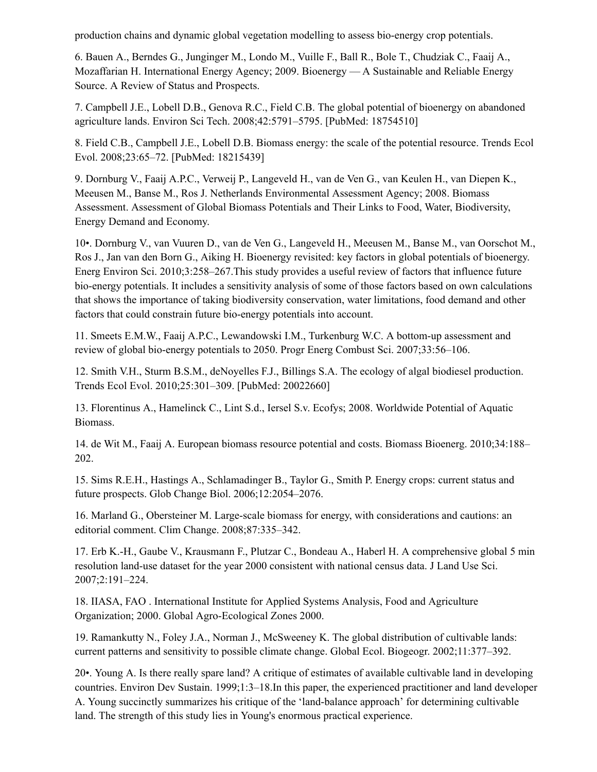production chains and dynamic global vegetation modelling to assess bio-energy crop potentials.

<span id="page-8-9"></span>6. Bauen A., Berndes G., Junginger M., Londo M., Vuille F., Ball R., Bole T., Chudziak C., Faaij A., Mozaffarian H. International Energy Agency; 2009. Bioenergy — A Sustainable and Reliable Energy Source. A Review of Status and Prospects.

<span id="page-8-0"></span>7. Campbell J.E., Lobell D.B., Genova R.C., Field C.B. The global potential of bioenergy on abandoned agriculture lands. Environ Sci Tech. 2008;42:5791–5795. [PubMed: 18754510]

<span id="page-8-11"></span>8. Field C.B., Campbell J.E., Lobell D.B. Biomass energy: the scale of the potential resource. Trends Ecol Evol. 2008;23:65–72. [PubMed: 18215439]

<span id="page-8-1"></span>9. Dornburg V., Faaij A.P.C., Verweij P., Langeveld H., van de Ven G., van Keulen H., van Diepen K., Meeusen M., Banse M., Ros J. Netherlands Environmental Assessment Agency; 2008. Biomass Assessment. Assessment of Global Biomass Potentials and Their Links to Food, Water, Biodiversity, Energy Demand and Economy.

<span id="page-8-8"></span>10•. Dornburg V., van Vuuren D., van de Ven G., Langeveld H., Meeusen M., Banse M., van Oorschot M., Ros J., Jan van den Born G., Aiking H. Bioenergy revisited: key factors in global potentials of bioenergy. Energ Environ Sci. 2010;3:258–267.This study provides a useful review of factors that influence future bio-energy potentials. It includes a sensitivity analysis of some of those factors based on own calculations that shows the importance of taking biodiversity conservation, water limitations, food demand and other factors that could constrain future bio-energy potentials into account.

<span id="page-8-2"></span>11. Smeets E.M.W., Faaij A.P.C., Lewandowski I.M., Turkenburg W.C. A bottom-up assessment and review of global bio-energy potentials to 2050. Progr Energ Combust Sci. 2007;33:56–106.

<span id="page-8-3"></span>12. Smith V.H., Sturm B.S.M., deNoyelles F.J., Billings S.A. The ecology of algal biodiesel production. Trends Ecol Evol. 2010;25:301–309. [PubMed: 20022660]

13. Florentinus A., Hamelinck C., Lint S.d., Iersel S.v. Ecofys; 2008. Worldwide Potential of Aquatic Biomass.

<span id="page-8-10"></span>14. de Wit M., Faaij A. European biomass resource potential and costs. Biomass Bioenerg. 2010;34:188– 202.

<span id="page-8-12"></span>15. Sims R.E.H., Hastings A., Schlamadinger B., Taylor G., Smith P. Energy crops: current status and future prospects. Glob Change Biol. 2006;12:2054–2076.

16. Marland G., Obersteiner M. Large-scale biomass for energy, with considerations and cautions: an editorial comment. Clim Change. 2008;87:335–342.

<span id="page-8-4"></span>17. Erb K.-H., Gaube V., Krausmann F., Plutzar C., Bondeau A., Haberl H. A comprehensive global 5 min resolution land-use dataset for the year 2000 consistent with national census data. J Land Use Sci. 2007;2:191–224.

<span id="page-8-5"></span>18. IIASA, FAO . International Institute for Applied Systems Analysis, Food and Agriculture Organization; 2000. Global Agro-Ecological Zones 2000.

<span id="page-8-6"></span>19. Ramankutty N., Foley J.A., Norman J., McSweeney K. The global distribution of cultivable lands: current patterns and sensitivity to possible climate change. Global Ecol. Biogeogr. 2002;11:377–392.

<span id="page-8-7"></span>20•. Young A. Is there really spare land? A critique of estimates of available cultivable land in developing countries. Environ Dev Sustain. 1999;1:3–18.In this paper, the experienced practitioner and land developer A. Young succinctly summarizes his critique of the 'land-balance approach' for determining cultivable land. The strength of this study lies in Young's enormous practical experience.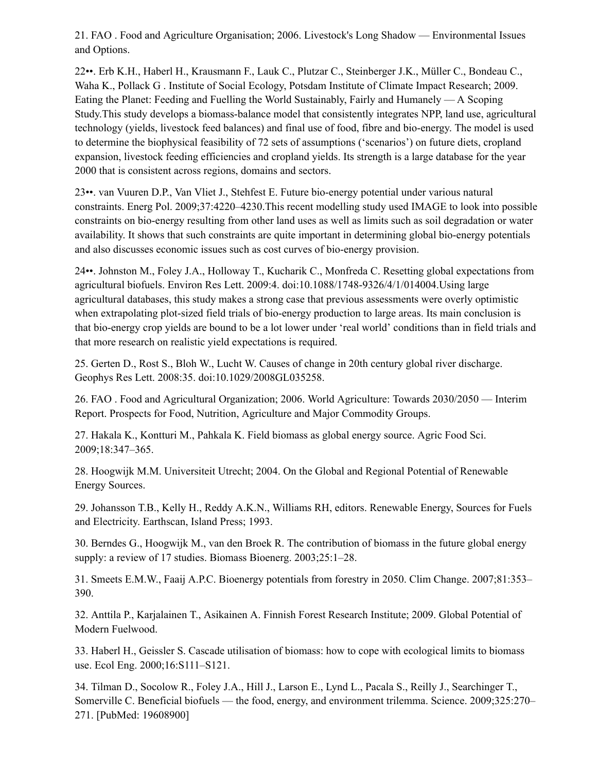21. FAO . Food and Agriculture Organisation; 2006. Livestock's Long Shadow — Environmental Issues and Options.

<span id="page-9-0"></span>22••. Erb K.H., Haberl H., Krausmann F., Lauk C., Plutzar C., Steinberger J.K., Müller C., Bondeau C., Waha K., Pollack G . Institute of Social Ecology, Potsdam Institute of Climate Impact Research; 2009. Eating the Planet: Feeding and Fuelling the World Sustainably, Fairly and Humanely — A Scoping Study.This study develops a biomass-balance model that consistently integrates NPP, land use, agricultural technology (yields, livestock feed balances) and final use of food, fibre and bio-energy. The model is used to determine the biophysical feasibility of 72 sets of assumptions ('scenarios') on future diets, cropland expansion, livestock feeding efficiencies and cropland yields. Its strength is a large database for the year 2000 that is consistent across regions, domains and sectors.

<span id="page-9-1"></span>23••. van Vuuren D.P., Van Vliet J., Stehfest E. Future bio-energy potential under various natural constraints. Energ Pol. 2009;37:4220–4230.This recent modelling study used IMAGE to look into possible constraints on bio-energy resulting from other land uses as well as limits such as soil degradation or water availability. It shows that such constraints are quite important in determining global bio-energy potentials and also discusses economic issues such as cost curves of bio-energy provision.

<span id="page-9-2"></span>24••. Johnston M., Foley J.A., Holloway T., Kucharik C., Monfreda C. Resetting global expectations from agricultural biofuels. Environ Res Lett. 2009:4. doi:10.1088/1748-9326/4/1/014004.Using large agricultural databases, this study makes a strong case that previous assessments were overly optimistic when extrapolating plot-sized field trials of bio-energy production to large areas. Its main conclusion is that bio-energy crop yields are bound to be a lot lower under 'real world' conditions than in field trials and that more research on realistic yield expectations is required.

<span id="page-9-3"></span>25. Gerten D., Rost S., Bloh W., Lucht W. Causes of change in 20th century global river discharge. Geophys Res Lett. 2008:35. doi:10.1029/2008GL035258.

<span id="page-9-4"></span>26. FAO . Food and Agricultural Organization; 2006. World Agriculture: Towards 2030/2050 — Interim Report. Prospects for Food, Nutrition, Agriculture and Major Commodity Groups.

<span id="page-9-5"></span>27. Hakala K., Kontturi M., Pahkala K. Field biomass as global energy source. Agric Food Sci. 2009;18:347–365.

<span id="page-9-6"></span>28. Hoogwijk M.M. Universiteit Utrecht; 2004. On the Global and Regional Potential of Renewable Energy Sources.

<span id="page-9-7"></span>29. Johansson T.B., Kelly H., Reddy A.K.N., Williams RH, editors. Renewable Energy, Sources for Fuels and Electricity. Earthscan, Island Press; 1993.

30. Berndes G., Hoogwijk M., van den Broek R. The contribution of biomass in the future global energy supply: a review of 17 studies. Biomass Bioenerg. 2003;25:1–28.

<span id="page-9-9"></span>31. Smeets E.M.W., Faaij A.P.C. Bioenergy potentials from forestry in 2050. Clim Change. 2007;81:353– 390.

<span id="page-9-8"></span>32. Anttila P., Karjalainen T., Asikainen A. Finnish Forest Research Institute; 2009. Global Potential of Modern Fuelwood.

33. Haberl H., Geissler S. Cascade utilisation of biomass: how to cope with ecological limits to biomass use. Ecol Eng. 2000;16:S111–S121.

<span id="page-9-10"></span>34. Tilman D., Socolow R., Foley J.A., Hill J., Larson E., Lynd L., Pacala S., Reilly J., Searchinger T., Somerville C. Beneficial biofuels — the food, energy, and environment trilemma. Science. 2009;325:270– 271. [PubMed: 19608900]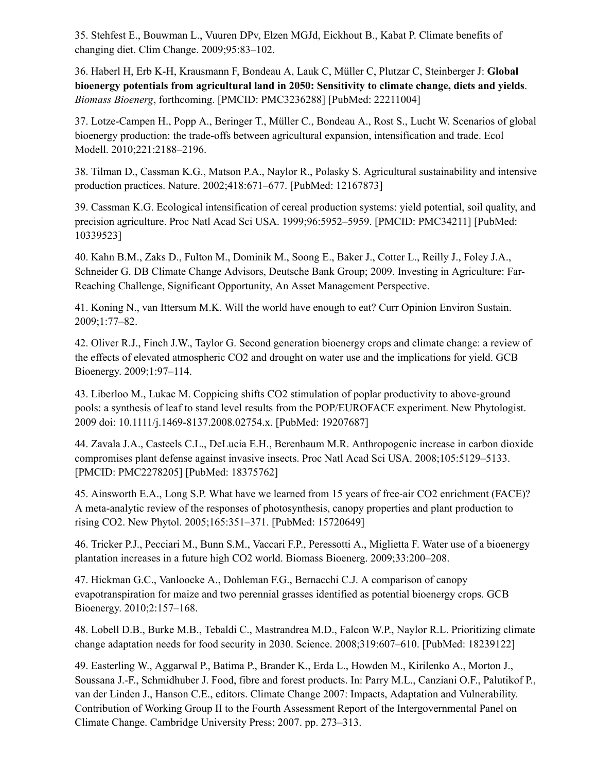35. Stehfest E., Bouwman L., Vuuren DPv, Elzen MGJd, Eickhout B., Kabat P. Climate benefits of changing diet. Clim Change. 2009;95:83–102.

<span id="page-10-7"></span>36. Haberl H, Erb K-H, Krausmann F, Bondeau A, Lauk C, Müller C, Plutzar C, Steinberger J: **Global bioenergy potentials from agricultural land in 2050: Sensitivity to climate change, diets and yields**. *Biomass Bioenerg*, forthcoming. [PMCID: PMC3236288] [PubMed: 22211004]

37. Lotze-Campen H., Popp A., Beringer T., Müller C., Bondeau A., Rost S., Lucht W. Scenarios of global bioenergy production: the trade-offs between agricultural expansion, intensification and trade. Ecol Modell. 2010;221:2188–2196.

<span id="page-10-0"></span>38. Tilman D., Cassman K.G., Matson P.A., Naylor R., Polasky S. Agricultural sustainability and intensive production practices. Nature. 2002;418:671–677. [PubMed: 12167873]

<span id="page-10-1"></span>39. Cassman K.G. Ecological intensification of cereal production systems: yield potential, soil quality, and precision agriculture. Proc Natl Acad Sci USA. 1999;96:5952–5959. [PMCID: PMC34211] [PubMed: 10339523]

<span id="page-10-2"></span>40. Kahn B.M., Zaks D., Fulton M., Dominik M., Soong E., Baker J., Cotter L., Reilly J., Foley J.A., Schneider G. DB Climate Change Advisors, Deutsche Bank Group; 2009. Investing in Agriculture: Far-Reaching Challenge, Significant Opportunity, An Asset Management Perspective.

<span id="page-10-3"></span>41. Koning N., van Ittersum M.K. Will the world have enough to eat? Curr Opinion Environ Sustain. 2009;1:77–82.

<span id="page-10-4"></span>42. Oliver R.J., Finch J.W., Taylor G. Second generation bioenergy crops and climate change: a review of the effects of elevated atmospheric CO2 and drought on water use and the implications for yield. GCB Bioenergy. 2009;1:97–114.

<span id="page-10-5"></span>43. Liberloo M., Lukac M. Coppicing shifts CO2 stimulation of poplar productivity to above-ground pools: a synthesis of leaf to stand level results from the POP/EUROFACE experiment. New Phytologist. 2009 doi: 10.1111/j.1469-8137.2008.02754.x. [PubMed: 19207687]

<span id="page-10-6"></span>44. Zavala J.A., Casteels C.L., DeLucia E.H., Berenbaum M.R. Anthropogenic increase in carbon dioxide compromises plant defense against invasive insects. Proc Natl Acad Sci USA. 2008;105:5129–5133. [PMCID: PMC2278205] [PubMed: 18375762]

<span id="page-10-8"></span>45. Ainsworth E.A., Long S.P. What have we learned from 15 years of free-air CO2 enrichment (FACE)? A meta-analytic review of the responses of photosynthesis, canopy properties and plant production to rising CO2. New Phytol. 2005;165:351–371. [PubMed: 15720649]

<span id="page-10-9"></span>46. Tricker P.J., Pecciari M., Bunn S.M., Vaccari F.P., Peressotti A., Miglietta F. Water use of a bioenergy plantation increases in a future high CO2 world. Biomass Bioenerg. 2009;33:200–208.

<span id="page-10-10"></span>47. Hickman G.C., Vanloocke A., Dohleman F.G., Bernacchi C.J. A comparison of canopy evapotranspiration for maize and two perennial grasses identified as potential bioenergy crops. GCB Bioenergy. 2010;2:157–168.

<span id="page-10-11"></span>48. Lobell D.B., Burke M.B., Tebaldi C., Mastrandrea M.D., Falcon W.P., Naylor R.L. Prioritizing climate change adaptation needs for food security in 2030. Science. 2008;319:607–610. [PubMed: 18239122]

49. Easterling W., Aggarwal P., Batima P., Brander K., Erda L., Howden M., Kirilenko A., Morton J., Soussana J.-F., Schmidhuber J. Food, fibre and forest products. In: Parry M.L., Canziani O.F., Palutikof P., van der Linden J., Hanson C.E., editors. Climate Change 2007: Impacts, Adaptation and Vulnerability. Contribution of Working Group II to the Fourth Assessment Report of the Intergovernmental Panel on Climate Change. Cambridge University Press; 2007. pp. 273–313.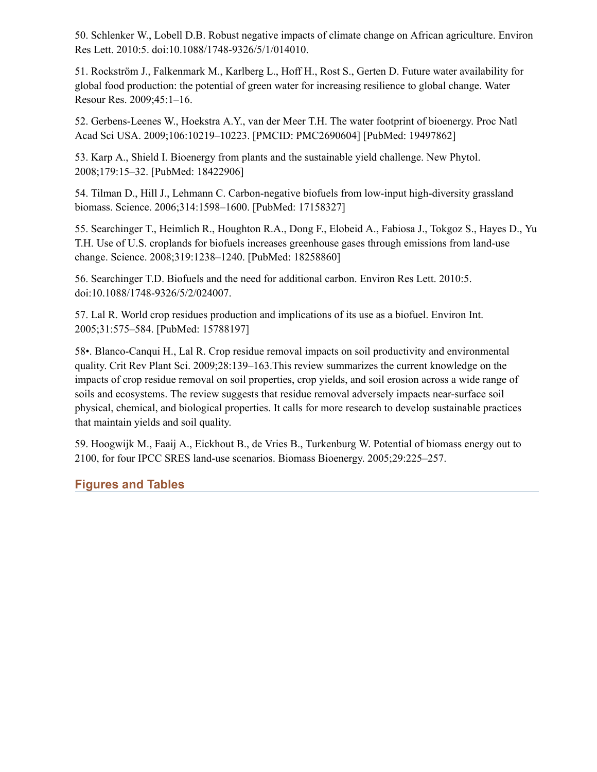50. Schlenker W., Lobell D.B. Robust negative impacts of climate change on African agriculture. Environ Res Lett. 2010:5. doi:10.1088/1748-9326/5/1/014010.

<span id="page-11-0"></span>51. Rockström J., Falkenmark M., Karlberg L., Hoff H., Rost S., Gerten D. Future water availability for global food production: the potential of green water for increasing resilience to global change. Water Resour Res. 2009;45:1–16.

<span id="page-11-1"></span>52. Gerbens-Leenes W., Hoekstra A.Y., van der Meer T.H. The water footprint of bioenergy. Proc Natl Acad Sci USA. 2009;106:10219–10223. [PMCID: PMC2690604] [PubMed: 19497862]

<span id="page-11-2"></span>53. Karp A., Shield I. Bioenergy from plants and the sustainable yield challenge. New Phytol. 2008;179:15–32. [PubMed: 18422906]

<span id="page-11-3"></span>54. Tilman D., Hill J., Lehmann C. Carbon-negative biofuels from low-input high-diversity grassland biomass. Science. 2006;314:1598–1600. [PubMed: 17158327]

<span id="page-11-4"></span>55. Searchinger T., Heimlich R., Houghton R.A., Dong F., Elobeid A., Fabiosa J., Tokgoz S., Hayes D., Yu T.H. Use of U.S. croplands for biofuels increases greenhouse gases through emissions from land-use change. Science. 2008;319:1238–1240. [PubMed: 18258860]

<span id="page-11-5"></span>56. Searchinger T.D. Biofuels and the need for additional carbon. Environ Res Lett. 2010:5. doi:10.1088/1748-9326/5/2/024007.

57. Lal R. World crop residues production and implications of its use as a biofuel. Environ Int. 2005;31:575–584. [PubMed: 15788197]

58•. Blanco-Canqui H., Lal R. Crop residue removal impacts on soil productivity and environmental quality. Crit Rev Plant Sci. 2009;28:139–163.This review summarizes the current knowledge on the impacts of crop residue removal on soil properties, crop yields, and soil erosion across a wide range of soils and ecosystems. The review suggests that residue removal adversely impacts near-surface soil physical, chemical, and biological properties. It calls for more research to develop sustainable practices that maintain yields and soil quality.

<span id="page-11-6"></span>59. Hoogwijk M., Faaij A., Eickhout B., de Vries B., Turkenburg W. Potential of biomass energy out to 2100, for four IPCC SRES land-use scenarios. Biomass Bioenergy. 2005;29:225–257.

### **Figures and Tables**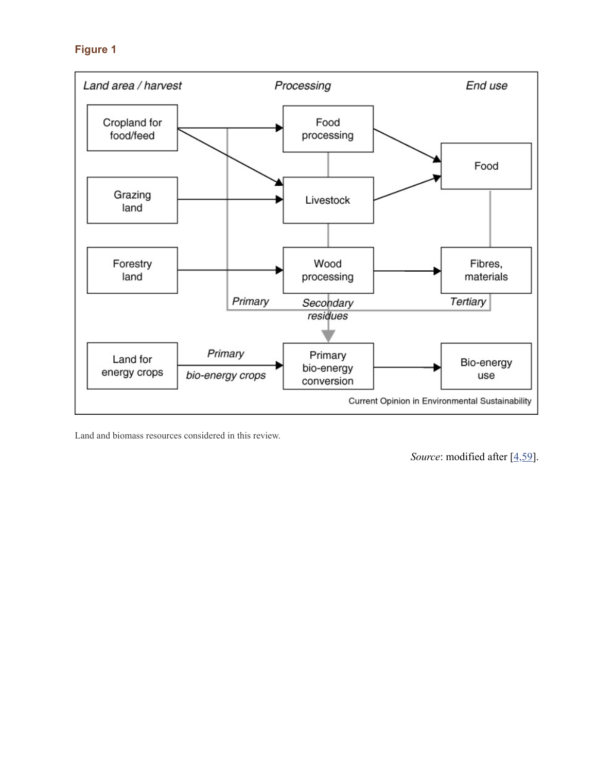# **Figure 1**



Land and biomass resources considered in this review.

*Source*: modified after [\[4,59\]](#page-7-2).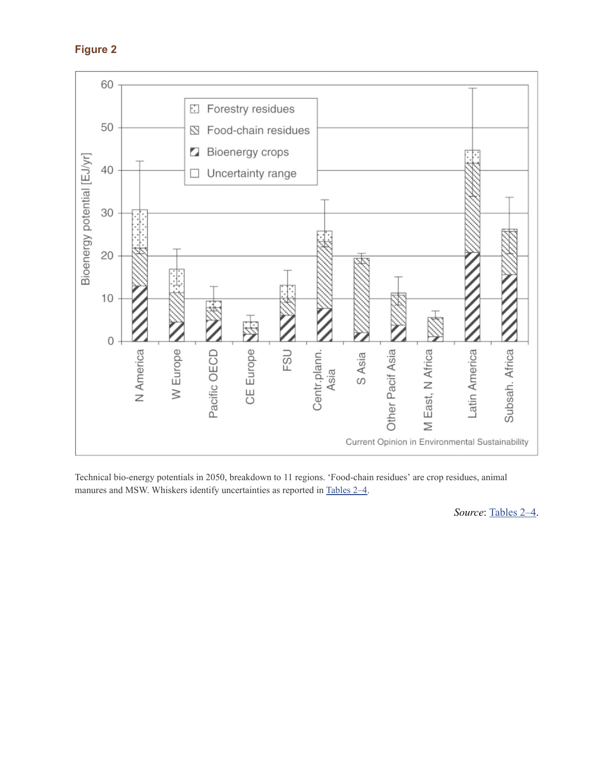# **Figure 2**



Technical bio-energy potentials in 2050, breakdown to 11 regions. 'Food-chain residues' are crop residues, animal manures and MSW. Whiskers identify uncertainties as reported in [Tables](https://www.ncbi.nlm.nih.gov/pmc/articles/PMC3778854/table/tbl0010/) 2–4.

*Source*: [Tables](https://www.ncbi.nlm.nih.gov/pmc/articles/PMC3778854/table/tbl0010/) 2–4.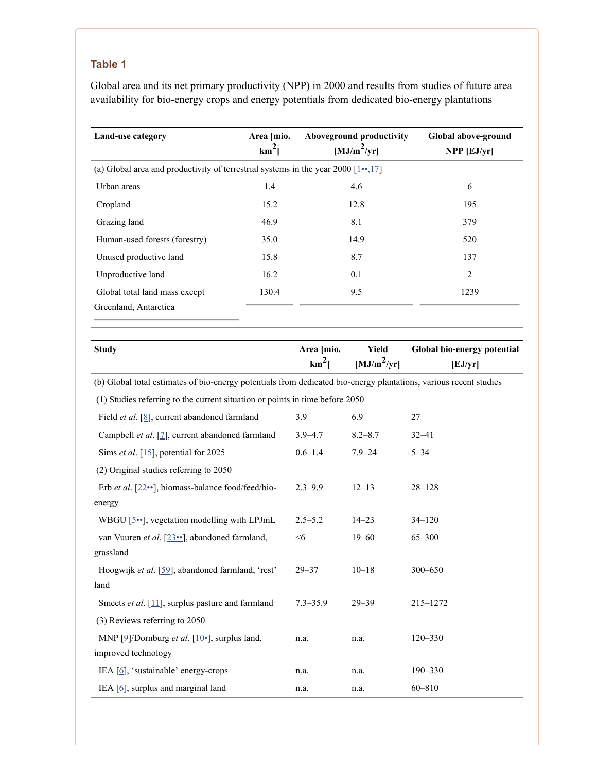Global area and its net primary productivity (NPP) in 2000 and results from studies of future area availability for bio-energy crops and energy potentials from dedicated bio-energy plantations

| Land-use category                                                                      | Area [mio.<br>$km^2$ ] | Aboveground productivity<br>$[MJ/m^2/yr]$ | Global above-ground<br>NPP [EJ/yr] |
|----------------------------------------------------------------------------------------|------------------------|-------------------------------------------|------------------------------------|
| (a) Global area and productivity of terrestrial systems in the year 2000 $[1\cdot 17]$ |                        |                                           |                                    |
| Urban areas                                                                            | 1.4                    | 4.6                                       | 6                                  |
| Cropland                                                                               | 15.2                   | 12.8                                      | 195                                |
| Grazing land                                                                           | 46.9                   | 8.1                                       | 379                                |
| Human-used forests (forestry)                                                          | 35.0                   | 14.9                                      | 520                                |
| Unused productive land                                                                 | 15.8                   | 8.7                                       | 137                                |
| Unproductive land                                                                      | 16.2                   | 0.1                                       | 2                                  |
| Global total land mass except<br>Greenland, Antarctica                                 | 130.4                  | 9.5                                       | 1239                               |
| <b>Study</b>                                                                           |                        | Yield<br>Area [mio.                       | Global bio-energy potential        |

| Study                                                                                                             | Area [mio.<br>$km^2$ ] | Yield<br>[MJ/m <sup>2</sup> /yr] | Global bio-energy potential<br>[EJ/yr] |
|-------------------------------------------------------------------------------------------------------------------|------------------------|----------------------------------|----------------------------------------|
| (b) Global total estimates of bio-energy potentials from dedicated bio-energy plantations, various recent studies |                        |                                  |                                        |
| (1) Studies referring to the current situation or points in time before 2050                                      |                        |                                  |                                        |
| Field et al. [8], current abandoned farmland                                                                      | 3.9                    | 6.9                              | 27                                     |
| Campbell et al. [7], current abandoned farmland                                                                   | $3.9 - 4.7$            | $8.2 - 8.7$                      | $32 - 41$                              |
| Sims et al. $[15]$ , potential for 2025                                                                           | $0.6 - 1.4$            | $7.9 - 24$                       | $5 - 34$                               |
| (2) Original studies referring to 2050                                                                            |                        |                                  |                                        |
| Erb et al. [22 <sup>••</sup> ], biomass-balance food/feed/bio-                                                    | $2.3 - 9.9$            | $12 - 13$                        | $28 - 128$                             |
| energy                                                                                                            |                        |                                  |                                        |
| WBGU $[5\cdot\cdot]$ , vegetation modelling with LPJmL                                                            | $2.5 - 5.2$            | $14 - 23$                        | $34 - 120$                             |
| van Vuuren et al. [23 ••], abandoned farmland,                                                                    | $\leq 6$               | $19 - 60$                        | $65 - 300$                             |
| grassland                                                                                                         |                        |                                  |                                        |
| Hoogwijk et al. [59], abandoned farmland, 'rest'                                                                  | $29 - 37$              | $10 - 18$                        | 300-650                                |
| land                                                                                                              |                        |                                  |                                        |
| Smeets <i>et al.</i> [11], surplus pasture and farmland                                                           | $7.3 - 35.9$           | $29 - 39$                        | 215-1272                               |
| (3) Reviews referring to 2050                                                                                     |                        |                                  |                                        |
| MNP $[9]$ /Dornburg et al. $[10*]$ , surplus land,                                                                | n.a.                   | n.a.                             | $120 - 330$                            |
| improved technology                                                                                               |                        |                                  |                                        |
| IEA [6], 'sustainable' energy-crops                                                                               | n.a.                   | n.a.                             | $190 - 330$                            |
| IEA $[6]$ , surplus and marginal land                                                                             | n.a.                   | n.a.                             | $60 - 810$                             |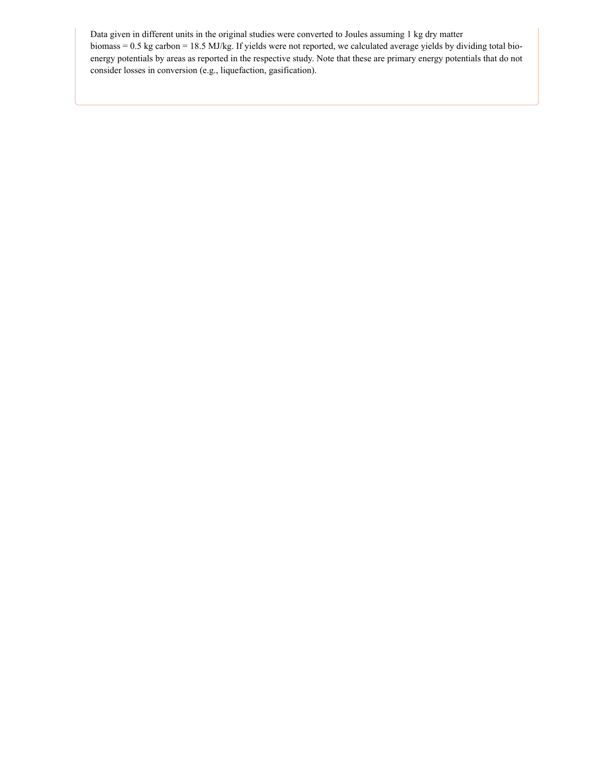Data given in different units in the original studies were converted to Joules assuming 1 kg dry matter biomass = 0.5 kg carbon = 18.5 MJ/kg. If yields were not reported, we calculated average yields by dividing total bioenergy potentials by areas as reported in the respective study. Note that these are primary energy potentials that do not consider losses in conversion (e.g., liquefaction, gasification).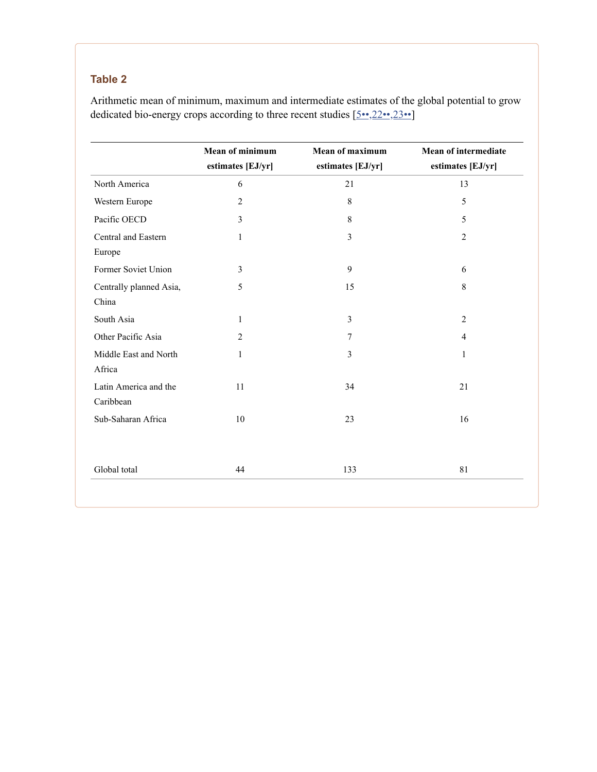Arithmetic mean of minimum, maximum and intermediate estimates of the global potential to grow dedicated bio-energy crops according to three recent studies  $[5\cdot, 22\cdot, 23\cdot]$ 

|                         | <b>Mean of minimum</b><br><b>Mean of maximum</b> |                   | Mean of intermediate |  |
|-------------------------|--------------------------------------------------|-------------------|----------------------|--|
|                         | estimates [EJ/yr]                                | estimates [EJ/yr] | estimates [EJ/yr]    |  |
| North America           | 6                                                | 21                | 13                   |  |
| Western Europe          | $\overline{2}$                                   | 8                 | 5                    |  |
| Pacific OECD            | 3                                                | 8                 | 5                    |  |
| Central and Eastern     | $\mathbf{1}$                                     | 3                 | $\overline{2}$       |  |
| Europe                  |                                                  |                   |                      |  |
| Former Soviet Union     | 3                                                | 9                 | 6                    |  |
| Centrally planned Asia, | 5                                                | 15                | 8                    |  |
| China                   |                                                  |                   |                      |  |
| South Asia              | $\mathbf{1}$                                     | 3                 | $\overline{2}$       |  |
| Other Pacific Asia      | 2                                                | 7                 | $\overline{4}$       |  |
| Middle East and North   | $\mathbf{1}$                                     | 3                 | 1                    |  |
| Africa                  |                                                  |                   |                      |  |
| Latin America and the   | 11                                               | 34                | 21                   |  |
| Caribbean               |                                                  |                   |                      |  |
| Sub-Saharan Africa      | 10                                               | 23                | 16                   |  |
|                         |                                                  |                   |                      |  |
| Global total            | 44                                               | 133               | 81                   |  |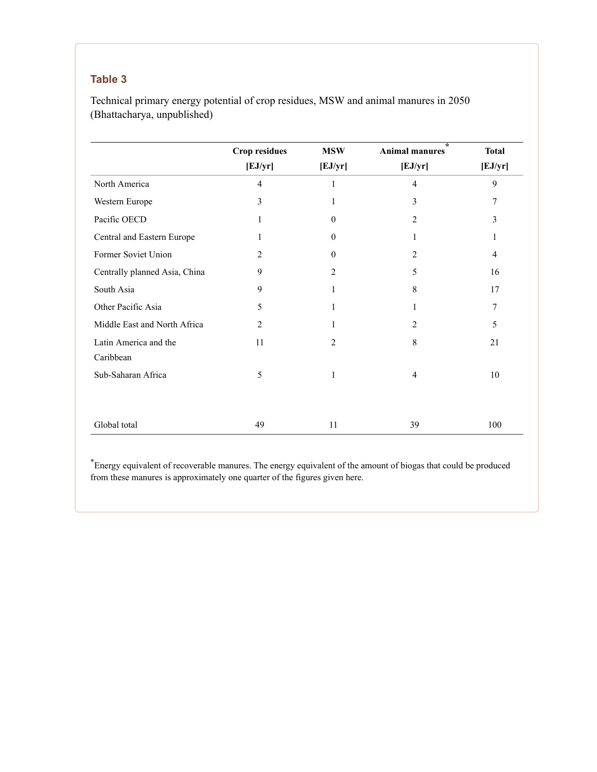Technical primary energy potential of crop residues, MSW and animal manures in 2050 (Bhattacharya, unpublished)

|                               | <b>Crop residues</b> | <b>MSW</b> | $\ast$<br><b>Animal manures</b> | <b>Total</b>   |
|-------------------------------|----------------------|------------|---------------------------------|----------------|
|                               | [EJ/yr]              | [EJ/yr]    | [EJ/yr]                         | [EJ/yr]        |
| North America                 | $\overline{4}$       | 1          | 4                               | 9              |
| Western Europe                | $\overline{3}$       | 1          | 3                               | 7              |
| Pacific OECD                  | 1                    | $\theta$   | $\overline{2}$                  | 3              |
| Central and Eastern Europe    | 1                    | $\theta$   | 1                               | 1              |
| Former Soviet Union           | $\overline{2}$       | $\Omega$   | 2                               | $\overline{4}$ |
| Centrally planned Asia, China | 9                    | 2          | 5                               | 16             |
| South Asia                    | 9                    | 1          | 8                               | 17             |
| Other Pacific Asia            | 5                    | 1          |                                 | 7              |
| Middle East and North Africa  | 2                    |            | 2                               | 5              |
| Latin America and the         | 11                   | 2          | 8                               | 21             |
| Caribbean                     |                      |            |                                 |                |
| Sub-Saharan Africa            | 5                    | 1          | 4                               | 10             |
|                               |                      |            |                                 |                |
| Global total                  | 49                   | 11         | 39                              | 100            |

Energy equivalent of recoverable manures. The energy equivalent of the amount of biogas that could be produced \*from these manures is approximately one quarter of the figures given here.